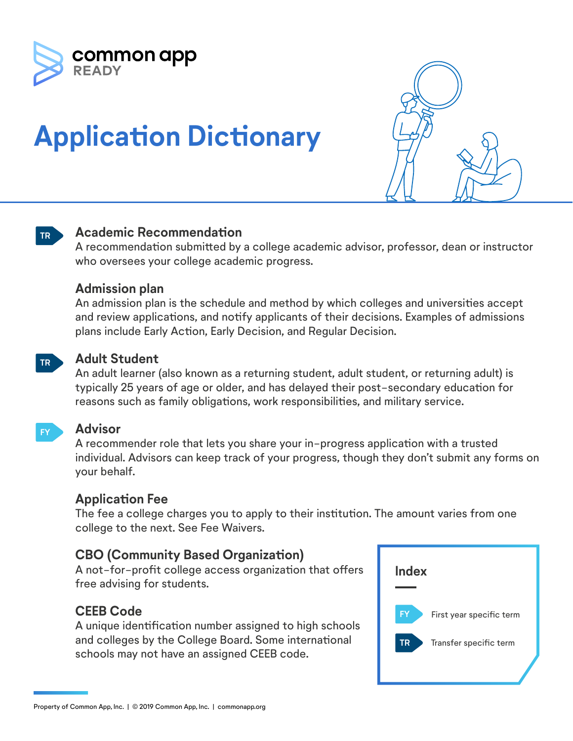

# **Application Dictionary**



#### **Academic Recommendation**

A recommendation submitted by a college academic advisor, professor, dean or instructor who oversees your college academic progress.

#### **Admission plan**

An admission plan is the schedule and method by which colleges and universities accept and review applications, and notify applicants of their decisions. Examples of admissions plans include Early Action, Early Decision, and Regular Decision.



**TR**

#### **Adult Student**

An adult learner (also known as a returning student, adult student, or returning adult) is typically 25 years of age or older, and has delayed their post-secondary education for reasons such as family obligations, work responsibilities, and military service.



#### **Advisor**

A recommender role that lets you share your in-progress application with a trusted individual. Advisors can keep track of your progress, though they don't submit any forms on your behalf.

#### **Application Fee**

The fee a college charges you to apply to their institution. The amount varies from one college to the next. See Fee Waivers.

#### **CBO (Community Based Organization)**

A not-for-profit college access organization that offers free advising for students.

#### **CEEB Code**

A unique identification number assigned to high schools and colleges by the College Board. Some international schools may not have an assigned CEEB code.

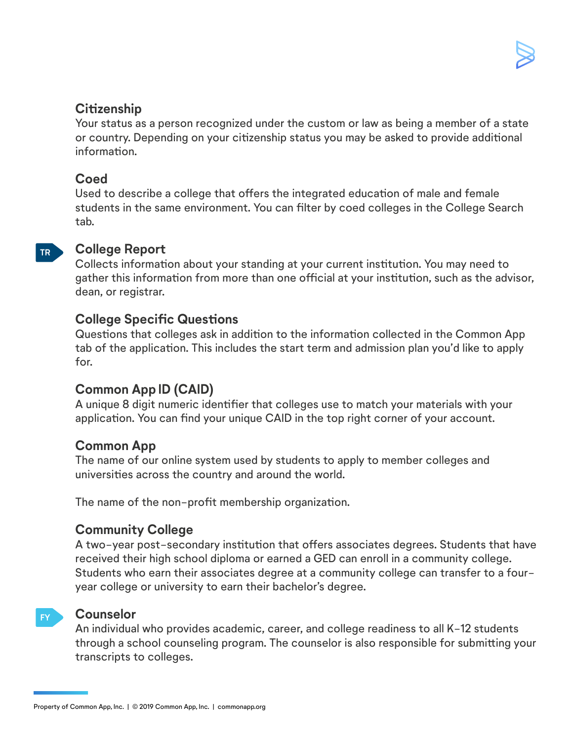#### **Citizenship**

Your status as a person recognized under the custom or law as being a member of a state or country. Depending on your citizenship status you may be asked to provide additional information.

#### **Coed**

Used to describe a college that offers the integrated education of male and female students in the same environment. You can filter by coed colleges in the College Search tab.

#### **TR**

#### **College Report**

Collects information about your standing at your current institution. You may need to gather this information from more than one official at your institution, such as the advisor, dean, or registrar.

#### **College Specific Questions**

Questions that colleges ask in addition to the information collected in the Common App tab of the application. This includes the start term and admission plan you'd like to apply for.

#### **Common App ID (CAID)**

A unique 8 digit numeric identifier that colleges use to match your materials with your application. You can find your unique CAID in the top right corner of your account.

#### **Common App**

The name of our online system used by students to apply to member colleges and universities across the country and around the world.

The name of the non-profit membership organization.

#### **Community College**

A two-year post-secondary institution that offers associates degrees. Students that have received their high school diploma or earned a GED can enroll in a community college. Students who earn their associates degree at a community college can transfer to a fouryear college or university to earn their bachelor's degree.



#### **Counselor**

An individual who provides academic, career, and college readiness to all K-12 students through a school counseling program. The counselor is also responsible for submitting your transcripts to colleges.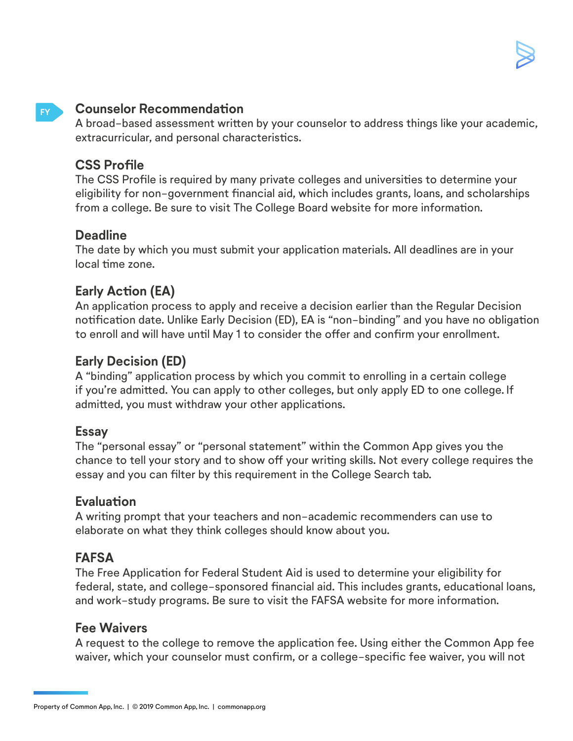#### **Counselor Recommendation**

A broad-based assessment written by your counselor to address things like your academic, extracurricular, and personal characteristics.

#### **CSS Profile**

**FY**

The CSS Profile is required by many private colleges and universities to determine your eligibility for non-government financial aid, which includes grants, loans, and scholarships from a college. Be sure to visit The College Board website for more information.

#### **Deadline**

The date by which you must submit your application materials. All deadlines are in your local time zone.

# **Early Action (EA)**

An application process to apply and receive a decision earlier than the Regular Decision notification date. Unlike Early Decision (ED), EA is "non-binding" and you have no obligation to enroll and will have until May 1 to consider the offer and confirm your enrollment.

# **Early Decision (ED)**

A "binding" application process by which you commit to enrolling in a certain college if you're admitted. You can apply to other colleges, but only apply ED to one college. If admitted, you must withdraw your other applications.

#### **Essay**

The "personal essay" or "personal statement" within the Common App gives you the chance to tell your story and to show off your writing skills. Not every college requires the essay and you can filter by this requirement in the College Search tab.

#### **Evaluation**

A writing prompt that your teachers and non-academic recommenders can use to elaborate on what they think colleges should know about you.

#### **FAFSA**

The Free Application for Federal Student Aid is used to determine your eligibility for federal, state, and college-sponsored financial aid. This includes grants, educational loans, and work-study programs. Be sure to visit the FAFSA website for more information.

#### **Fee Waivers**

A request to the college to remove the application fee. Using either the Common App fee waiver, which your counselor must confirm, or a college-specific fee waiver, you will not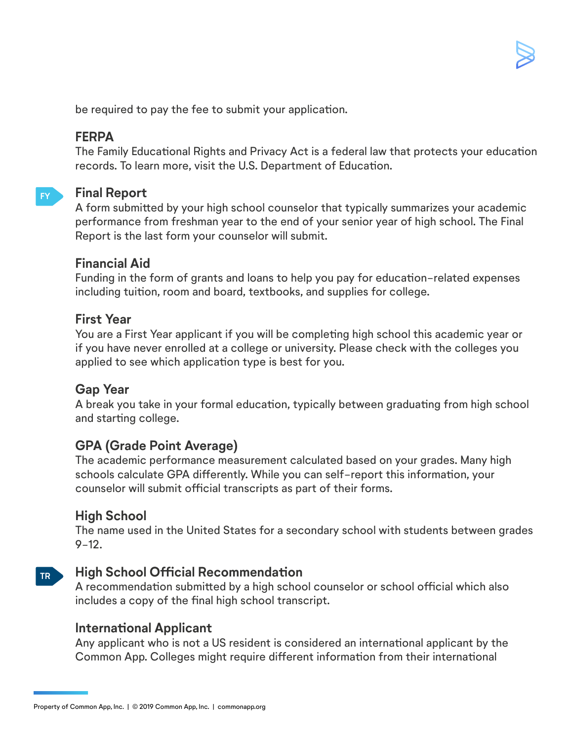be required to pay the fee to submit your application.

#### **FERPA**

The Family Educational Rights and Privacy Act is a federal law that protects your education records. To learn more, visit the U.S. Department of Education.

#### **FY**

#### **Final Report**

A form submitted by your high school counselor that typically summarizes your academic performance from freshman year to the end of your senior year of high school. The Final Report is the last form your counselor will submit.

#### **Financial Aid**

Funding in the form of grants and loans to help you pay for education-related expenses including tuition, room and board, textbooks, and supplies for college.

#### **First Year**

You are a First Year applicant if you will be completing high school this academic year or if you have never enrolled at a college or university. Please check with the colleges you applied to see which application type is best for you.

#### **Gap Year**

A break you take in your formal education, typically between graduating from high school and starting college.

#### **GPA (Grade Point Average)**

The academic performance measurement calculated based on your grades. Many high schools calculate GPA differently. While you can self-report this information, your counselor will submit official transcripts as part of their forms.

#### **High School**

The name used in the United States for a secondary school with students between grades  $9 - 12.$ 

#### **High School Official Recommendation TR**

A recommendation submitted by a high school counselor or school official which also includes a copy of the final high school transcript.

#### **International Applicant**

Any applicant who is not a US resident is considered an international applicant by the Common App. Colleges might require different information from their international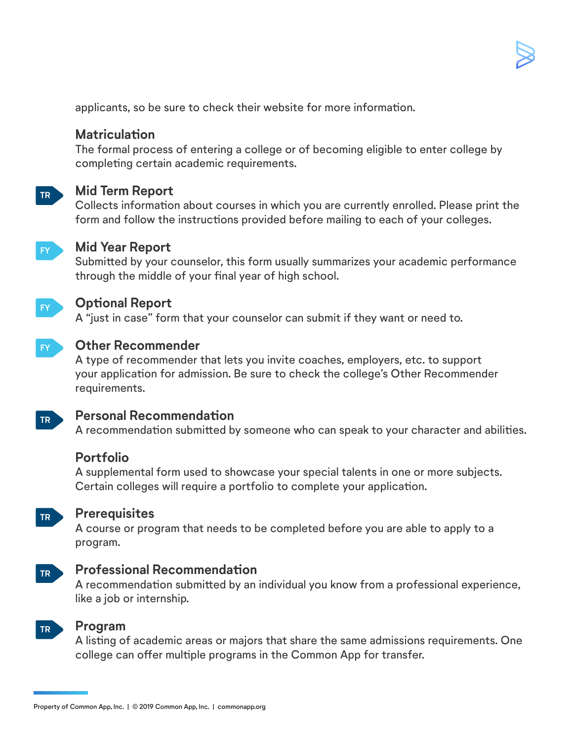applicants, so be sure to check their website for more information.

#### **Matriculation**

The formal process of entering a college or of becoming eligible to enter college by completing certain academic requirements.



#### **Mid Term Report**

Collects information about courses in which you are currently enrolled. Please print the form and follow the instructions provided before mailing to each of your colleges.



#### **Mid Year Report**

Submitted by your counselor, this form usually summarizes your academic performance through the middle of your final year of high school.



#### **Optional Report**

A "just in case" form that your counselor can submit if they want or need to.



**TR**

#### **Other Recommender**

A type of recommender that lets you invite coaches, employers, etc. to support your application for admission. Be sure to check the college's Other Recommender requirements.

#### **Personal Recommendation**

A recommendation submitted by someone who can speak to your character and abilities.

#### **Portfolio**

A supplemental form used to showcase your special talents in one or more subjects. Certain colleges will require a portfolio to complete your application.



#### **Prerequisites**

A course or program that needs to be completed before you are able to apply to a program.

#### **Professional Recommendation TR**

A recommendation submitted by an individual you know from a professional experience, like a job or internship.



#### **Program**

A listing of academic areas or majors that share the same admissions requirements. One college can offer multiple programs in the Common App for transfer.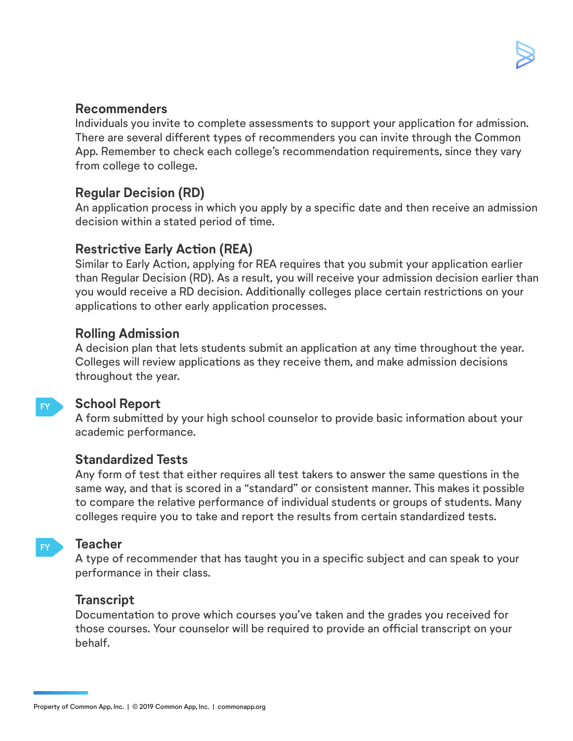#### **Recommenders**

Individuals you invite to complete assessments to support your application for admission. There are several different types of recommenders you can invite through the Common App. Remember to check each college's recommendation requirements, since they vary from college to college.

# **Regular Decision (RD)**

An application process in which you apply by a specific date and then receive an admission decision within a stated period of time.

#### **Restrictive Early Action (REA)**

Similar to Early Action, applying for REA requires that you submit your application earlier than Regular Decision (RD). As a result, you will receive your admission decision earlier than you would receive a RD decision. Additionally colleges place certain restrictions on your applications to other early application processes.

#### **Rolling Admission**

A decision plan that lets students submit an application at any time throughout the year. Colleges will review applications as they receive them, and make admission decisions throughout the year.

#### **School Report FY**

A form submitted by your high school counselor to provide basic information about your academic performance.

#### **Standardized Tests**

Any form of test that either requires all test takers to answer the same questions in the same way, and that is scored in a "standard" or consistent manner. This makes it possible to compare the relative performance of individual students or groups of students. Many colleges require you to take and report the results from certain standardized tests.

#### **FY**

#### **Teacher**

A type of recommender that has taught you in a specific subject and can speak to your performance in their class.

#### **Transcript**

Documentation to prove which courses you've taken and the grades you received for those courses. Your counselor will be required to provide an official transcript on your behalf.